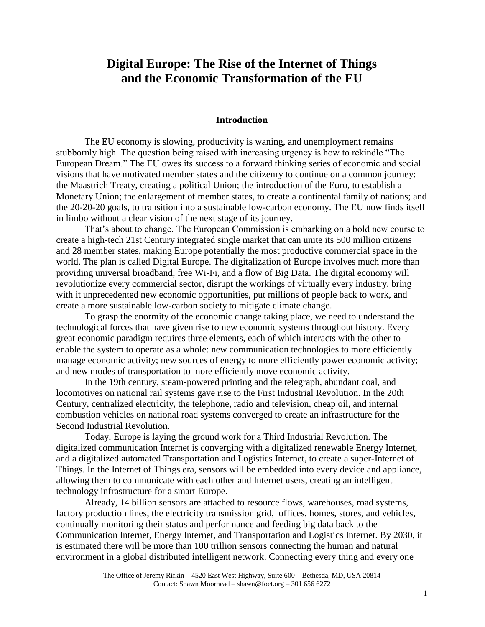# **Digital Europe: The Rise of the Internet of Things and the Economic Transformation of the EU**

#### **Introduction**

The EU economy is slowing, productivity is waning, and unemployment remains stubbornly high. The question being raised with increasing urgency is how to rekindle "The European Dream." The EU owes its success to a forward thinking series of economic and social visions that have motivated member states and the citizenry to continue on a common journey: the Maastrich Treaty, creating a political Union; the introduction of the Euro, to establish a Monetary Union; the enlargement of member states, to create a continental family of nations; and the 20-20-20 goals, to transition into a sustainable low-carbon economy. The EU now finds itself in limbo without a clear vision of the next stage of its journey.

That's about to change. The European Commission is embarking on a bold new course to create a high-tech 21st Century integrated single market that can unite its 500 million citizens and 28 member states, making Europe potentially the most productive commercial space in the world. The plan is called Digital Europe. The digitalization of Europe involves much more than providing universal broadband, free Wi-Fi, and a flow of Big Data. The digital economy will revolutionize every commercial sector, disrupt the workings of virtually every industry, bring with it unprecedented new economic opportunities, put millions of people back to work, and create a more sustainable low-carbon society to mitigate climate change.

To grasp the enormity of the economic change taking place, we need to understand the technological forces that have given rise to new economic systems throughout history. Every great economic paradigm requires three elements, each of which interacts with the other to enable the system to operate as a whole: new communication technologies to more efficiently manage economic activity; new sources of energy to more efficiently power economic activity; and new modes of transportation to more efficiently move economic activity.

In the 19th century, steam-powered printing and the telegraph, abundant coal, and locomotives on national rail systems gave rise to the First Industrial Revolution. In the 20th Century, centralized electricity, the telephone, radio and television, cheap oil, and internal combustion vehicles on national road systems converged to create an infrastructure for the Second Industrial Revolution.

Today, Europe is laying the ground work for a Third Industrial Revolution. The digitalized communication Internet is converging with a digitalized renewable Energy Internet, and a digitalized automated Transportation and Logistics Internet, to create a super-Internet of Things. In the Internet of Things era, sensors will be embedded into every device and appliance, allowing them to communicate with each other and Internet users, creating an intelligent technology infrastructure for a smart Europe.

Already, 14 billion sensors are attached to resource flows, warehouses, road systems, factory production lines, the electricity transmission grid, offices, homes, stores, and vehicles, continually monitoring their status and performance and feeding big data back to the Communication Internet, Energy Internet, and Transportation and Logistics Internet. By 2030, it is estimated there will be more than 100 trillion sensors connecting the human and natural environment in a global distributed intelligent network. Connecting every thing and every one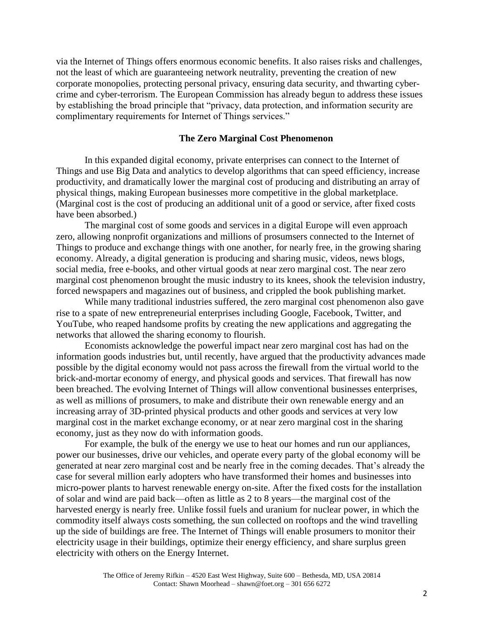via the Internet of Things offers enormous economic benefits. It also raises risks and challenges, not the least of which are guaranteeing network neutrality, preventing the creation of new corporate monopolies, protecting personal privacy, ensuring data security, and thwarting cybercrime and cyber-terrorism. The European Commission has already begun to address these issues by establishing the broad principle that "privacy, data protection, and information security are complimentary requirements for Internet of Things services."

#### **The Zero Marginal Cost Phenomenon**

In this expanded digital economy, private enterprises can connect to the Internet of Things and use Big Data and analytics to develop algorithms that can speed efficiency, increase productivity, and dramatically lower the marginal cost of producing and distributing an array of physical things, making European businesses more competitive in the global marketplace. (Marginal cost is the cost of producing an additional unit of a good or service, after fixed costs have been absorbed.)

The marginal cost of some goods and services in a digital Europe will even approach zero, allowing nonprofit organizations and millions of prosumsers connected to the Internet of Things to produce and exchange things with one another, for nearly free, in the growing sharing economy. Already, a digital generation is producing and sharing music, videos, news blogs, social media, free e-books, and other virtual goods at near zero marginal cost. The near zero marginal cost phenomenon brought the music industry to its knees, shook the television industry, forced newspapers and magazines out of business, and crippled the book publishing market.

While many traditional industries suffered, the zero marginal cost phenomenon also gave rise to a spate of new entrepreneurial enterprises including Google, Facebook, Twitter, and YouTube, who reaped handsome profits by creating the new applications and aggregating the networks that allowed the sharing economy to flourish.

Economists acknowledge the powerful impact near zero marginal cost has had on the information goods industries but, until recently, have argued that the productivity advances made possible by the digital economy would not pass across the firewall from the virtual world to the brick-and-mortar economy of energy, and physical goods and services. That firewall has now been breached. The evolving Internet of Things will allow conventional businesses enterprises, as well as millions of prosumers, to make and distribute their own renewable energy and an increasing array of 3D-printed physical products and other goods and services at very low marginal cost in the market exchange economy, or at near zero marginal cost in the sharing economy, just as they now do with information goods.

For example, the bulk of the energy we use to heat our homes and run our appliances, power our businesses, drive our vehicles, and operate every party of the global economy will be generated at near zero marginal cost and be nearly free in the coming decades. That's already the case for several million early adopters who have transformed their homes and businesses into micro-power plants to harvest renewable energy on-site. After the fixed costs for the installation of solar and wind are paid back—often as little as 2 to 8 years—the marginal cost of the harvested energy is nearly free. Unlike fossil fuels and uranium for nuclear power, in which the commodity itself always costs something, the sun collected on rooftops and the wind travelling up the side of buildings are free. The Internet of Things will enable prosumers to monitor their electricity usage in their buildings, optimize their energy efficiency, and share surplus green electricity with others on the Energy Internet.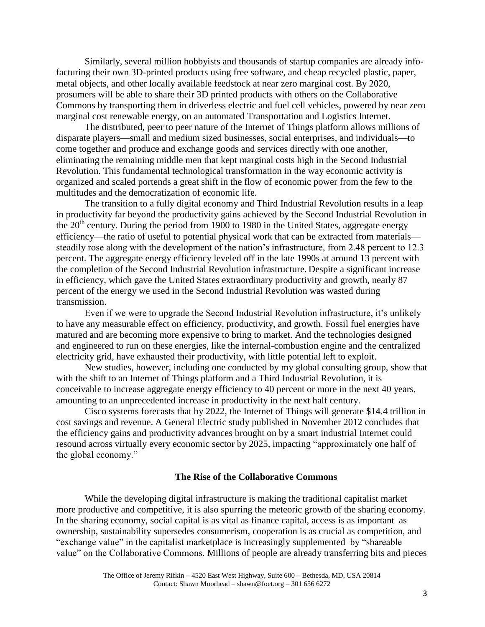Similarly, several million hobbyists and thousands of startup companies are already infofacturing their own 3D-printed products using free software, and cheap recycled plastic, paper, metal objects, and other locally available feedstock at near zero marginal cost. By 2020, prosumers will be able to share their 3D printed products with others on the Collaborative Commons by transporting them in driverless electric and fuel cell vehicles, powered by near zero marginal cost renewable energy, on an automated Transportation and Logistics Internet.

The distributed, peer to peer nature of the Internet of Things platform allows millions of disparate players—small and medium sized businesses, social enterprises, and individuals—to come together and produce and exchange goods and services directly with one another, eliminating the remaining middle men that kept marginal costs high in the Second Industrial Revolution. This fundamental technological transformation in the way economic activity is organized and scaled portends a great shift in the flow of economic power from the few to the multitudes and the democratization of economic life.

The transition to a fully digital economy and Third Industrial Revolution results in a leap in productivity far beyond the productivity gains achieved by the Second Industrial Revolution in the  $20<sup>th</sup>$  century. During the period from 1900 to 1980 in the United States, aggregate energy efficiency—the ratio of useful to potential physical work that can be extracted from materials steadily rose along with the development of the nation's infrastructure, from 2.48 percent to 12.3 percent. The aggregate energy efficiency leveled off in the late 1990s at around 13 percent with the completion of the Second Industrial Revolution infrastructure. Despite a significant increase in efficiency, which gave the United States extraordinary productivity and growth, nearly 87 percent of the energy we used in the Second Industrial Revolution was wasted during transmission.

Even if we were to upgrade the Second Industrial Revolution infrastructure, it's unlikely to have any measurable effect on efficiency, productivity, and growth. Fossil fuel energies have matured and are becoming more expensive to bring to market. And the technologies designed and engineered to run on these energies, like the internal-combustion engine and the centralized electricity grid, have exhausted their productivity, with little potential left to exploit.

New studies, however, including one conducted by my global consulting group, show that with the shift to an Internet of Things platform and a Third Industrial Revolution, it is conceivable to increase aggregate energy efficiency to 40 percent or more in the next 40 years, amounting to an unprecedented increase in productivity in the next half century.

Cisco systems forecasts that by 2022, the Internet of Things will generate \$14.4 trillion in cost savings and revenue. A General Electric study published in November 2012 concludes that the efficiency gains and productivity advances brought on by a smart industrial Internet could resound across virtually every economic sector by 2025, impacting "approximately one half of the global economy."

### **The Rise of the Collaborative Commons**

While the developing digital infrastructure is making the traditional capitalist market more productive and competitive, it is also spurring the meteoric growth of the sharing economy. In the sharing economy, social capital is as vital as finance capital, access is as important as ownership, sustainability supersedes consumerism, cooperation is as crucial as competition, and "exchange value" in the capitalist marketplace is increasingly supplemented by "shareable value" on the Collaborative Commons. Millions of people are already transferring bits and pieces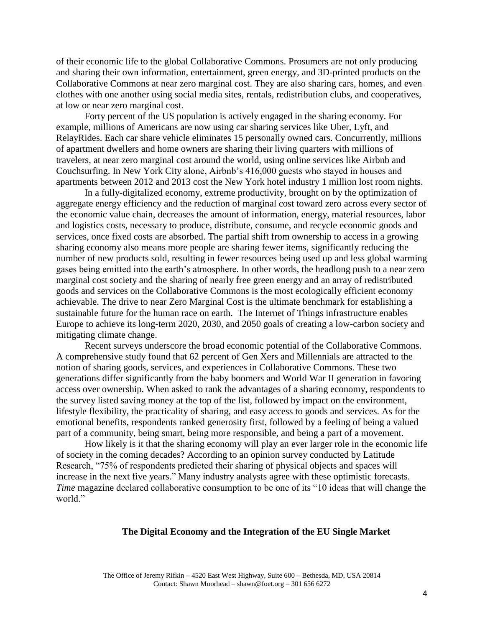of their economic life to the global Collaborative Commons. Prosumers are not only producing and sharing their own information, entertainment, green energy, and 3D-printed products on the Collaborative Commons at near zero marginal cost. They are also sharing cars, homes, and even clothes with one another using social media sites, rentals, redistribution clubs, and cooperatives, at low or near zero marginal cost.

Forty percent of the US population is actively engaged in the sharing economy. For example, millions of Americans are now using car sharing services like Uber, Lyft, and RelayRides. Each car share vehicle eliminates 15 personally owned cars. Concurrently, millions of apartment dwellers and home owners are sharing their living quarters with millions of travelers, at near zero marginal cost around the world, using online services like Airbnb and Couchsurfing. In New York City alone, Airbnb's 416,000 guests who stayed in houses and apartments between 2012 and 2013 cost the New York hotel industry 1 million lost room nights.

In a fully-digitalized economy, extreme productivity, brought on by the optimization of aggregate energy efficiency and the reduction of marginal cost toward zero across every sector of the economic value chain, decreases the amount of information, energy, material resources, labor and logistics costs, necessary to produce, distribute, consume, and recycle economic goods and services, once fixed costs are absorbed. The partial shift from ownership to access in a growing sharing economy also means more people are sharing fewer items, significantly reducing the number of new products sold, resulting in fewer resources being used up and less global warming gases being emitted into the earth's atmosphere. In other words, the headlong push to a near zero marginal cost society and the sharing of nearly free green energy and an array of redistributed goods and services on the Collaborative Commons is the most ecologically efficient economy achievable. The drive to near Zero Marginal Cost is the ultimate benchmark for establishing a sustainable future for the human race on earth. The Internet of Things infrastructure enables Europe to achieve its long-term 2020, 2030, and 2050 goals of creating a low-carbon society and mitigating climate change.

Recent surveys underscore the broad economic potential of the Collaborative Commons. A comprehensive study found that 62 percent of Gen Xers and Millennials are attracted to the notion of sharing goods, services, and experiences in Collaborative Commons. These two generations differ significantly from the baby boomers and World War II generation in favoring access over ownership. When asked to rank the advantages of a sharing economy, respondents to the survey listed saving money at the top of the list, followed by impact on the environment, lifestyle flexibility, the practicality of sharing, and easy access to goods and services. As for the emotional benefits, respondents ranked generosity first, followed by a feeling of being a valued part of a community, being smart, being more responsible, and being a part of a movement.

How likely is it that the sharing economy will play an ever larger role in the economic life of society in the coming decades? According to an opinion survey conducted by Latitude Research, "75% of respondents predicted their sharing of physical objects and spaces will increase in the next five years." Many industry analysts agree with these optimistic forecasts. *Time* magazine declared collaborative consumption to be one of its "10 ideas that will change the world."

## **The Digital Economy and the Integration of the EU Single Market**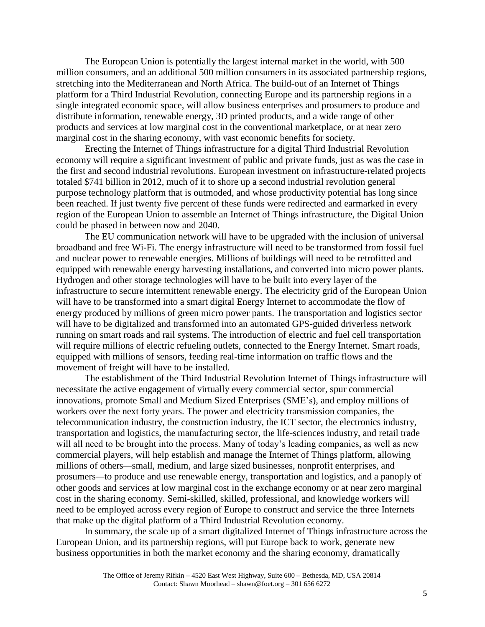The European Union is potentially the largest internal market in the world, with 500 million consumers, and an additional 500 million consumers in its associated partnership regions, stretching into the Mediterranean and North Africa. The build-out of an Internet of Things platform for a Third Industrial Revolution, connecting Europe and its partnership regions in a single integrated economic space, will allow business enterprises and prosumers to produce and distribute information, renewable energy, 3D printed products, and a wide range of other products and services at low marginal cost in the conventional marketplace, or at near zero marginal cost in the sharing economy, with vast economic benefits for society.

Erecting the Internet of Things infrastructure for a digital Third Industrial Revolution economy will require a significant investment of public and private funds, just as was the case in the first and second industrial revolutions. European investment on infrastructure-related projects totaled \$741 billion in 2012, much of it to shore up a second industrial revolution general purpose technology platform that is outmoded, and whose productivity potential has long since been reached. If just twenty five percent of these funds were redirected and earmarked in every region of the European Union to assemble an Internet of Things infrastructure, the Digital Union could be phased in between now and 2040.

The EU communication network will have to be upgraded with the inclusion of universal broadband and free Wi-Fi. The energy infrastructure will need to be transformed from fossil fuel and nuclear power to renewable energies. Millions of buildings will need to be retrofitted and equipped with renewable energy harvesting installations, and converted into micro power plants. Hydrogen and other storage technologies will have to be built into every layer of the infrastructure to secure intermittent renewable energy. The electricity grid of the European Union will have to be transformed into a smart digital Energy Internet to accommodate the flow of energy produced by millions of green micro power pants. The transportation and logistics sector will have to be digitalized and transformed into an automated GPS-guided driverless network running on smart roads and rail systems. The introduction of electric and fuel cell transportation will require millions of electric refueling outlets, connected to the Energy Internet. Smart roads, equipped with millions of sensors, feeding real-time information on traffic flows and the movement of freight will have to be installed.

The establishment of the Third Industrial Revolution Internet of Things infrastructure will necessitate the active engagement of virtually every commercial sector, spur commercial innovations, promote Small and Medium Sized Enterprises (SME's), and employ millions of workers over the next forty years. The power and electricity transmission companies, the telecommunication industry, the construction industry, the ICT sector, the electronics industry, transportation and logistics, the manufacturing sector, the life-sciences industry, and retail trade will all need to be brought into the process. Many of today's leading companies, as well as new commercial players, will help establish and manage the Internet of Things platform, allowing millions of others—small, medium, and large sized businesses, nonprofit enterprises, and prosumers—to produce and use renewable energy, transportation and logistics, and a panoply of other goods and services at low marginal cost in the exchange economy or at near zero marginal cost in the sharing economy. Semi-skilled, skilled, professional, and knowledge workers will need to be employed across every region of Europe to construct and service the three Internets that make up the digital platform of a Third Industrial Revolution economy.

In summary, the scale up of a smart digitalized Internet of Things infrastructure across the European Union, and its partnership regions, will put Europe back to work, generate new business opportunities in both the market economy and the sharing economy, dramatically